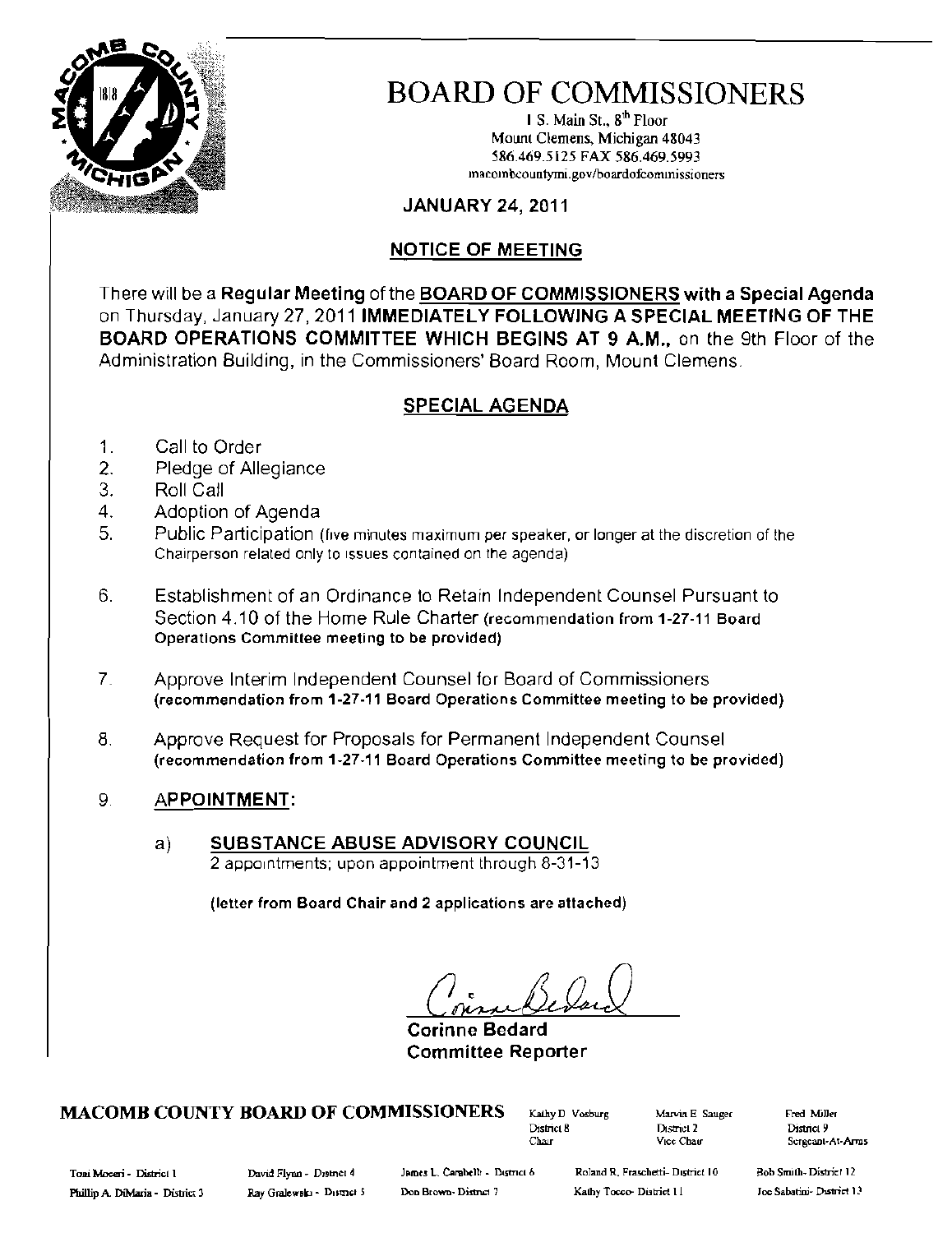

# BOARD OF COMMISSIONERS

I S. Main St., 8<sup>th</sup> Floor Mount Clemens, Michigan 48043 586.469.5125 FAX 586.469.5993 macombcountymi.gov/boardofcommissioners

## JANUARY 24, 2011

## NOTICE OF MEETING

There will be a Regular Meeting of the BOARD OF COMMISSIONERS with a Special Agenda on Thursday, January 27,2011 IMMEDIATELY FOLLOWING A SPECIAL MEETING OF THE BOARD OPERATIONS COMMITTEE WHICH BEGINS AT 9 A.M., on the 9th Floor of the Administration Building, in the Commissioners' Board Room, Mount Clemens.

## SPECIAL AGENDA

- 1. Call to Order
- 2. Pledge of Allegiance
- 3. Roll Call
- 4. Adoption of Agenda
- 5. Public Participation (five minutes maximum per speaker, or longer at the discretion of the Chairperson related only to Issues contained on the agenda)
- 6. Establishment of an Ordinance to Retain Independent Counsel Pursuant to Section 4.10 of the Home Rule Charter (recommendation from 1-27-11 Board Operations Committee meeting to be provided)
- 7. Approve Interim Independent Counsel for Board of Commissioners (recommendation from 1-27-11 Board Operations Committee meeting to be provided)
- 8. Approve Request for Proposals for Permanent Independent Counsel (recommendation from 1-27-11 Board Operations Committee meeting to be provided)
- 9. **APPOINTMENT:** 
	- a) SUBSTANCE ABUSE ADVISORY COUNCIL 2 appointments; upon appointment through 8-31-13

(letter from Board Chair and 2 applications are attached)

Corinne **Bedard**  Committee Reporter

# MACOMB COUNTY BOARD OF COMMISSIONERS (Kality D Vosburg Marvin E Sauger Fred Miller)<br>District 8 District 2 District 9

District 8 District 2<br>Chair Vice Chair<br>Wice Chair

Sergeant-At-Arms

Toni Moceri - District I Cavid Flynn - Destrict 4 James L. Carabelli - District 6 Roland R. Fraschetti- District 10

Bob Smith-District 12 Joe Sabatini- District 13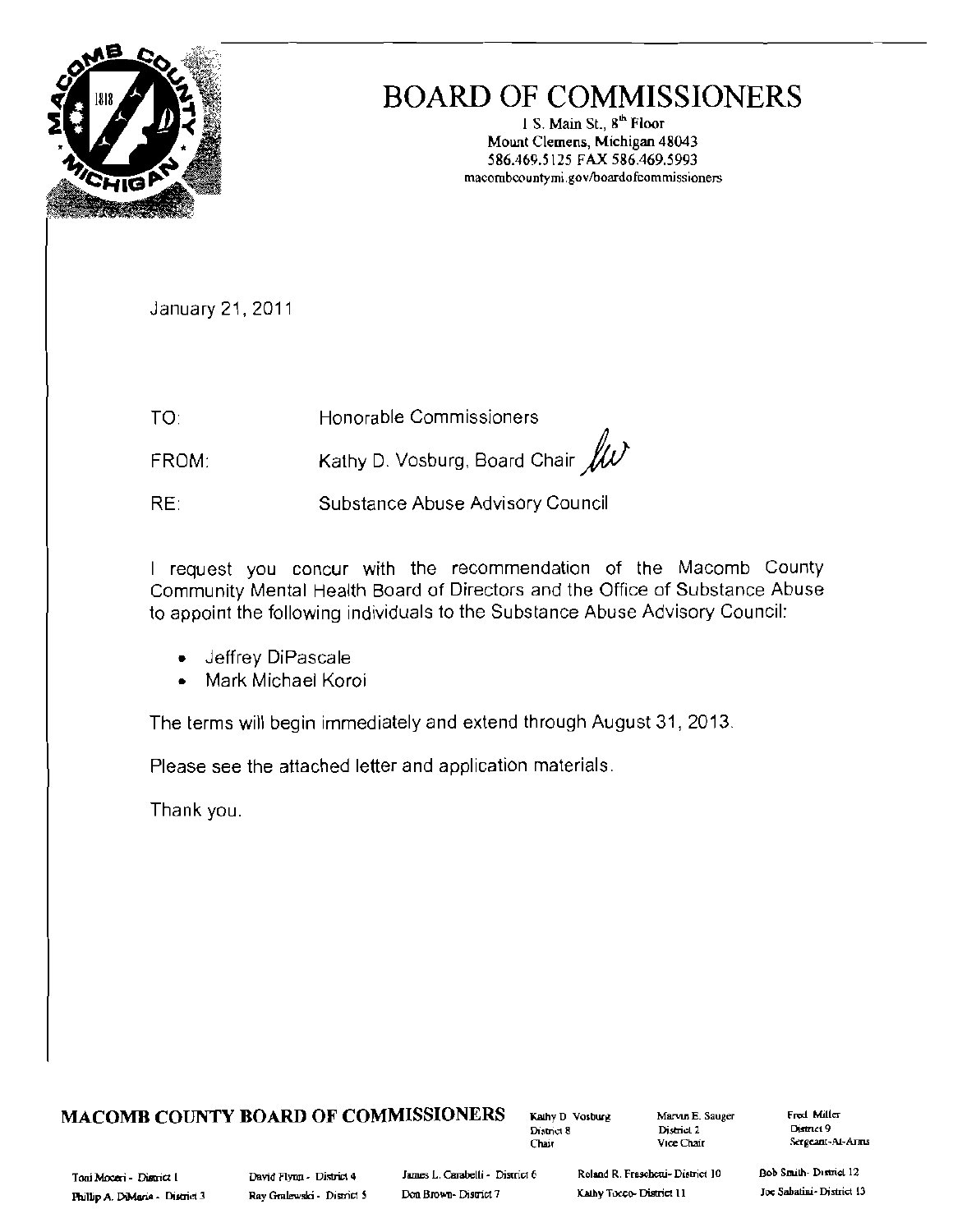

# **BOARD OF COMMISSIONERS**

1 S. Main St., 8<sup>th</sup> Floor Mount Clemens, Michigan 48043 586.469.5125 FAX 586.469.5993 macombcountymi.gov/boardofcommissioners

January 21, 2011

TO: Honorable Commissioners

Kathy D. Vosburg, Board Chair  $/\!\!/ \!\! \mathcal{W}$ FROM:

RE: Substance Abuse Advisory Council

I request you concur with the recommendation of the Macomb County Community Mental Health Board of Directors and the Office of Substance Abuse to appoint the following individuals to the Substance Abuse Advisory Council:

- Jeffrey DiPascale
- Mark Michael Koroi  $\bullet$

The terms will begin immediately and extend through August 31, 2013.

Please see the attached letter and application materials.

Thank you.

## **MACOMB COUNTY BOARD OF COMMISSIONERS**

Kathy D Vosburg District 8 Chair

Marvin E. Sauger District<sub>2</sub> Vice Chair

Fred Miller District 9 Sergeant-At-Arms

James L. Carabelli - District 6 Don Brown-District 7

Roland R. Fraschetti- District 10

Kathy Tocco- District 11

Bob Smith-District 12 Joe Sabatini-District 13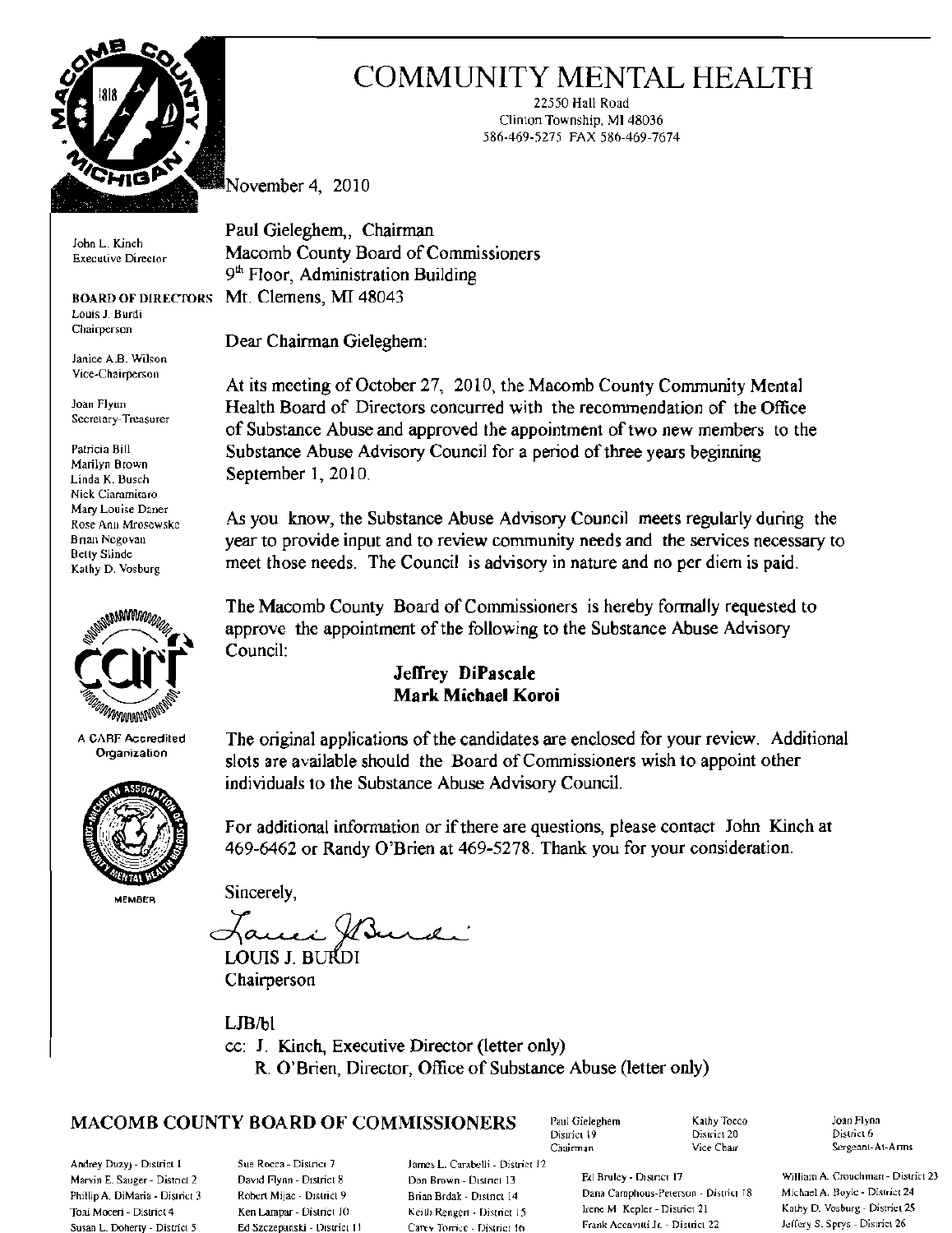

Louis J. Burdi Chairperson

Janice A.B. Wilson Vice·Cbairperson

Secretary-Treasurer

Nick Ciaramitaro



A CARF Accrediled Organization



**MEMBRR** 

# COMMUNITY MENTAL HEALTH

22550 Hall Road Clinton Township, MI 48036 586-469-5275. FAX 586-469-7674

November 4, 2010

Paul Gieleghem, Chairman John L. Kinch Macomb County Board of Commissioners  $9<sup>th</sup>$  Floor, Administration Building BOARD OF DIRECTORS MI. Clemens, MI 48043

Dear Chairman Gieleghem:

At its meeting of October 27, 2010, the Macomb County Community Mental Joan Flynn Health Board of Directors concurred with the recommendation of the Office of Substance Abuse and approved the appointment of two new members to the Patricia Bill Substance Abuse Advisory Council for a period of three years beginning<br>Marilyn Brown September 1, 2010.<br>Linda K. Busch...

Mary Louise Daner As you know, the Substance Abuse Advisory Council meets regularly during the Rose Ann Mrosewske Bnan Negovan<br>Betty Slinde<br>
Services necessary to<br>  $\frac{1}{2}$ <br>  $\frac{1}{2}$ <br>  $\frac{1}{2}$ <br>  $\frac{1}{2}$ <br>  $\frac{1}{2}$ <br>  $\frac{1}{2}$ <br>  $\frac{1}{2}$ <br>  $\frac{1}{2}$ <br>  $\frac{1}{2}$ <br>  $\frac{1}{2}$ <br>  $\frac{1}{2}$ <br>  $\frac{1}{2}$ <br>  $\frac{1}{2}$ <br>  $\frac{1}{2}$ <br>  $\frac{1}{2}$ <br>  $\frac{1}{2$ Belly Slinde meet those needs. The Council is advisory in nature and no per diem is paid.

> The Macomb County Board of Commissioners is hereby formally requested to approve the appointment of the following to the Substance Abuse Advisory Council:

## Jeffrey **DiPascaie Mark Michael Koroi**

The original applications ofthe candidates are enclosed for your review. Additional slots are available should the Board of Commissioners wish to appoint other individuaJs to the Substance Abuse Advisory Council.

For additional information or if there are questions, please contact John Kinch at 469-6462 or Randy O'Brien at 469-5278. Thank you for your consideration.

Sincerely,

Hanni XBurdi

LOUIS J. BURDI Chairperson

L**IB**/bl cc: 1. Kinch, Executive Director (letter only) R. O'Brien, Director, Office of Substance Abuse (letter only)

# $MACOMB$  COUNTY BOARD OF COMMISSIONERS Paul Gieleghem  $K$ athy Tocco Joan Flynn

Andrey Duzyj - District I Sue Rocca - District 7 James L. Carabelli - District 12

Susan L. Doherty - District 5 Ed Szczepanski - District 11 Carev Torrice - District 16

District 19

Marvin E, Sauger - District 2 David Flynn - District 8 Don Brown - District 13 Ext Bruley - District 17 William A. Crouchman - District 23 E. Sauger - District 20 David Flynn - District 23 Don Brown - District 14 Dana Camp Phillip A, DiMaria - District 3 Rohert Mijac - District 9 Brian Brdak - District 14 Dana Camphous-Peterson - District 18 Toni Moceri - District 4 Ken Lampar - District 10 Keith Rengert - District 15 Irene M Kepler - District 21 Kathy D. Vosburg - District 25<br>Susan L. Doherty - District 5 Ed Szczepanski - District 11 Carey Torrice - District

Chairman Mice Chair Sergeant-At-Arms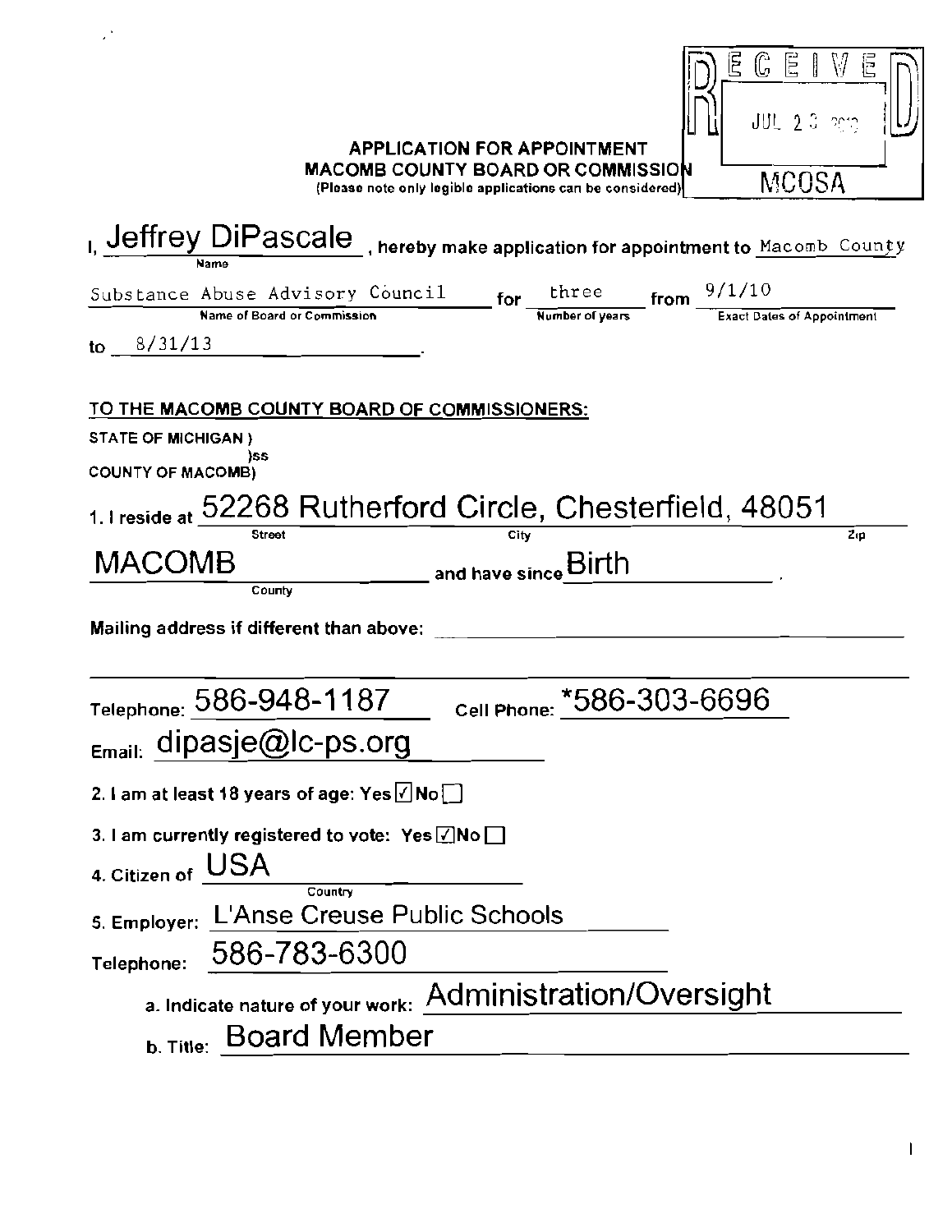| E<br>È.<br>لى<br>JUL 2.0 mm<br><b>APPLICATION FOR APPOINTMENT</b><br><b>MACOMB COUNTY BOARD OR COMMISSION</b><br>MCOSA<br>(Please note only legible applications can be considered) |
|-------------------------------------------------------------------------------------------------------------------------------------------------------------------------------------|
| I, Jeffrey DiPascale , hereby make application for appointment to Macomb County<br>Name                                                                                             |
| $S$ ubstance Abuse Advisory Council for $\frac{\text{three}}{\text{Number of years}}$ from $\frac{9/1/10}{\text{Exact Dates of Appointment}}$<br>to $8/31/13$                       |
| TO THE MACOMB COUNTY BOARD OF COMMISSIONERS:                                                                                                                                        |
| <b>STATE OF MICHIGAN)</b>                                                                                                                                                           |
| ISS<br><b>COUNTY OF MACOMB)</b>                                                                                                                                                     |
| 1. I reside at 52268 Rutherford Circle, Chesterfield, 48051<br><b>Street</b><br>Zıp<br>City                                                                                         |
| MACOMB<br>and have since Birth<br>County                                                                                                                                            |
| Mailing address if different than above:                                                                                                                                            |
| Cell Phone: *586-303-6696<br>Telephone: 586-948-1187                                                                                                                                |
| <sub>Email:</sub> dipasje@lc-ps.org                                                                                                                                                 |
| 2. I am at least 18 years of age: Yes $\angle$ No $\Box$                                                                                                                            |
| 3. I am currently registered to vote: Yes $\sqrt{N}$ No $\Box$                                                                                                                      |
| 4. Citizen of USA<br>Country                                                                                                                                                        |
| 5. Employer: L'Anse Creuse Public Schools                                                                                                                                           |
| 586-783-6300<br>Telephone:                                                                                                                                                          |
| a. Indicate nature of your work: Administration/Oversight                                                                                                                           |
| <b>Board Member</b>                                                                                                                                                                 |
| b. Title:                                                                                                                                                                           |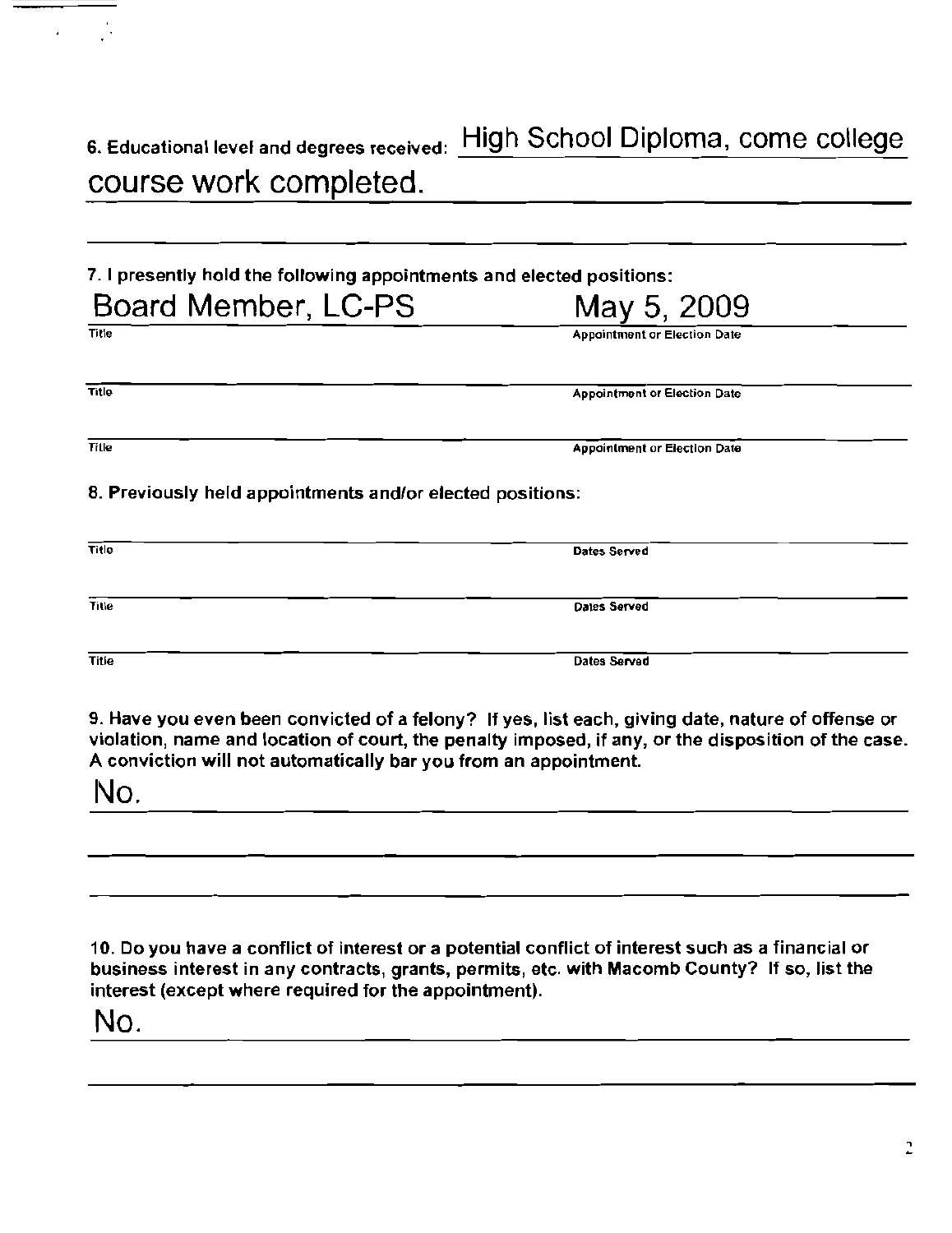| 6. Educational level and degrees received: HIC |  |
|------------------------------------------------|--|
| course work completed.                         |  |

7. I presently hold the following appointments and elected positions:

| Board Member, LC-PS                                       | May 5, 2009                         |  |
|-----------------------------------------------------------|-------------------------------------|--|
| Title                                                     | <b>Appointment or Election Date</b> |  |
| Title                                                     | <b>Appointment or Election Date</b> |  |
| <b>Tille</b>                                              | <b>Appointment or Election Date</b> |  |
| 8. Provincely hold appointments and/or elected positions: |                                     |  |

## 8. Previously held appointments and/or elected positions:

| Title        | Dates Served |
|--------------|--------------|
| Title        | Dates Served |
|              |              |
| <b>Title</b> | Dates Served |

9. Have you even been convicted of a felony? If yes, list each, giving date, nature of offense or violation, name and location of court, the penalty imposed, if any, or the disposition of the case. A conviction will not automatically bar you from an appointment.

No.

10. Do you have a conflict of interest or a potential conflict of interest such as a financial or business interest in any contracts, grants, permits, etc. with Macomb County? If so, list the interest (except where required for the appointment).

No.

gh School Diploma, come college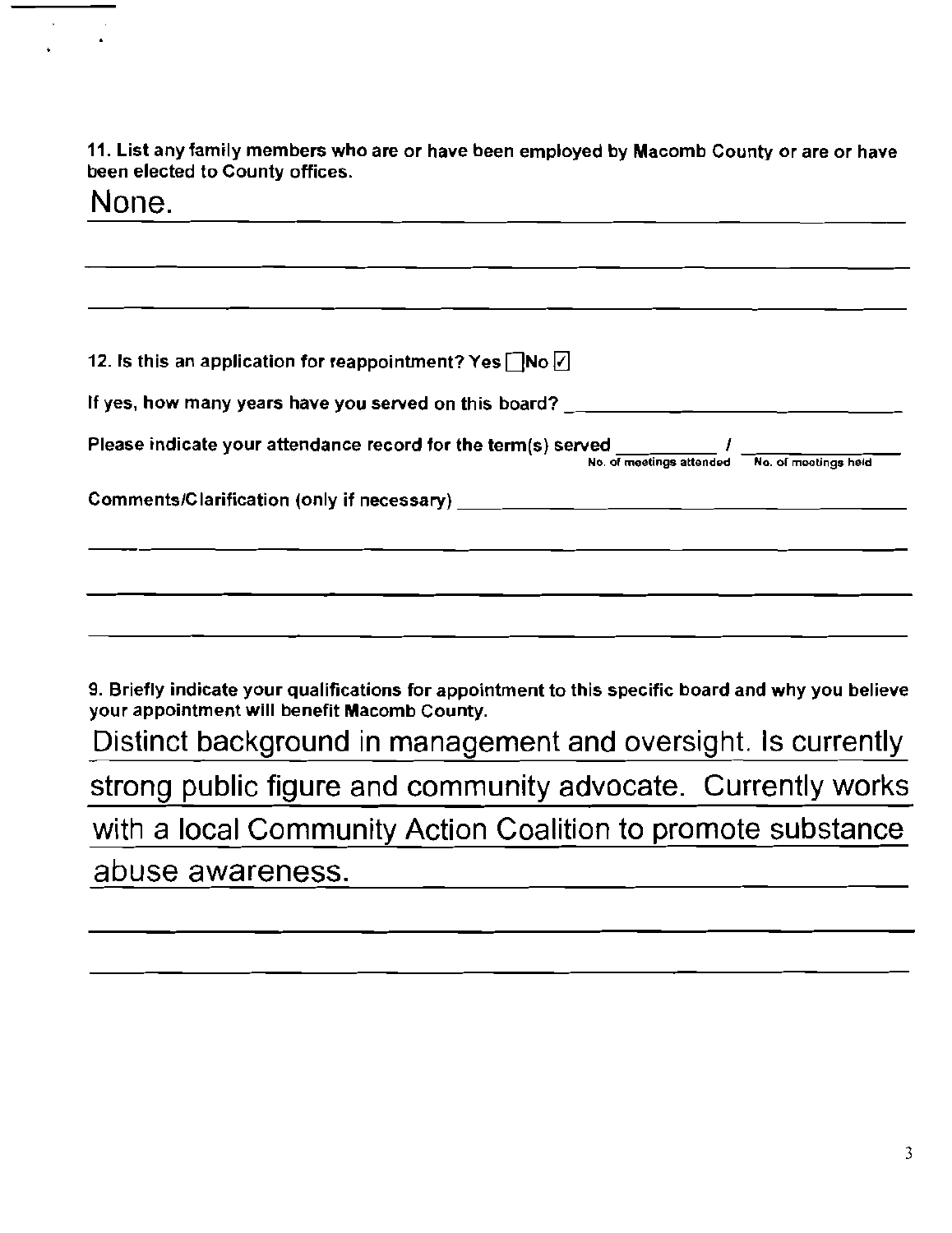11. List any family members who are or have been employed by Macomb County or are or have been elected to County offices.

 $\bar{\mathbf{r}}$ 

 $\hat{\mathcal{A}}$  $\bullet$ 

| None.                                                                                                                                 |
|---------------------------------------------------------------------------------------------------------------------------------------|
|                                                                                                                                       |
|                                                                                                                                       |
| 12. Is this an application for reappointment? Yes $\Box$ No $\Box$                                                                    |
|                                                                                                                                       |
| If yes, how many years have you served on this board? $\hskip1cm \qquad \qquad \Box$                                                  |
| Please indicate your attendance record for the term(s) served $\frac{1}{N_0}$ of meetings attended $\frac{1}{N_0}$ . of meetings held |
|                                                                                                                                       |
|                                                                                                                                       |
|                                                                                                                                       |
|                                                                                                                                       |
| 9. Briefly indicate your qualifications for appointment to this specific board and why you believe                                    |
| your appointment will benefit Macomb County.                                                                                          |
| Distinct background in management and oversight. Is currently                                                                         |
| strong public figure and community advocate. Currently works                                                                          |
| with a local Community Action Coalition to promote substance                                                                          |
| abuse awareness.                                                                                                                      |
|                                                                                                                                       |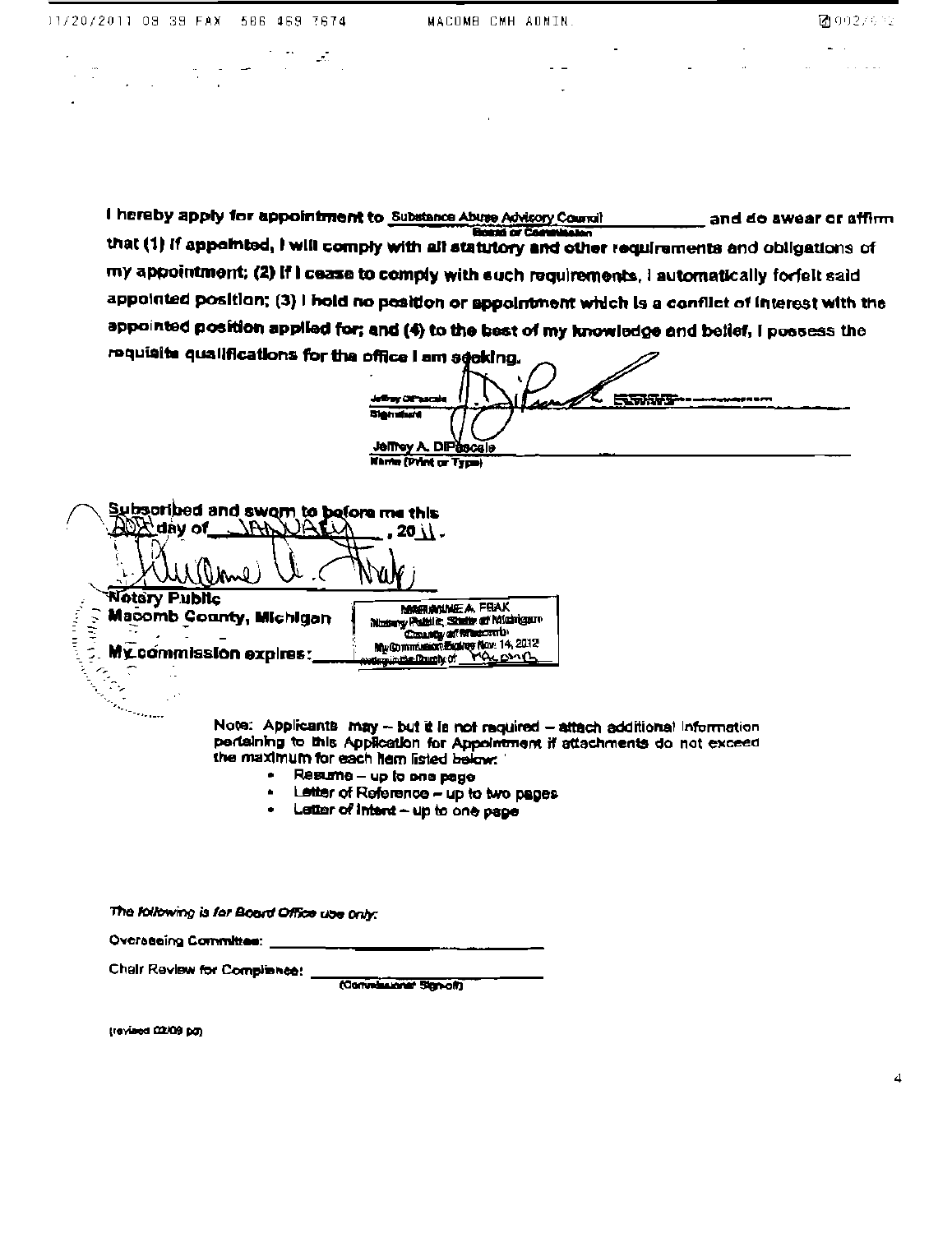$\label{eq:2.1} \frac{1}{\sqrt{2}}\left(\frac{1}{\sqrt{2}}\right)^{2} \frac{1}{\sqrt{2}}\left(\frac{1}{\sqrt{2}}\right)^{2} \frac{1}{\sqrt{2}}\left(\frac{1}{\sqrt{2}}\right)^{2} \frac{1}{\sqrt{2}}\left(\frac{1}{\sqrt{2}}\right)^{2} \frac{1}{\sqrt{2}}\left(\frac{1}{\sqrt{2}}\right)^{2} \frac{1}{\sqrt{2}}\left(\frac{1}{\sqrt{2}}\right)^{2} \frac{1}{\sqrt{2}}\left(\frac{1}{\sqrt{2}}\right)^{2} \frac{1}{\sqrt{2}}\left(\frac{$ 

a Sto

 $\sim 10^{11}$ 

 $\mathcal{A}$  , and  $\mathcal{A}$ 

 $\mathbf{z} = \mathbf{z}$  .

 $\sim$ 

 $\sim$ 

I hereby apply for appointment to Substance Abuse Advisory Council and do awear or affirm that (1) if appointed, I will comply with all statutory and other requirements and obligations of my appointment; (2) if I cease to comply with such requirements, I automatically forfelt said appointed position; (3) I hold no position or appointment which is a conflict of interest with the appointed position applied for; and (4) to the best of my knowledge and belief, I possess the requisite qualifications for the office I am seeking.

istra des 医尿尿变 سعيمته **Blé hativré** Jeffrey A. DIPascale **Narte (Print or Type)** 

Subsoribed and swom to before me this 764P NALA  $20 \backslash$ . (Inne) 1M I **Notary Public MARIANNE A FRAK**  $\alpha$  and  $\alpha$  and  $\alpha$ Macomb County, Michigan  $1.09\,\mu$ 

My commission expires: i<br>Cara

Motory Public, State of Michigan Control of Masomb **Control of Marine 14, 2012** dependent from the OT

Note: Applicants may -- but it is not required -- attach additional Information pertaining to this Application for Appointment if attachments do not exceed the maximum for each hem listed below:

- Resume up to one page
- Letter of Reference up to two pages  $\bullet$
- $\bullet$  Letter of intent  $\sim$  up to one page

The following is for Board Office use only:

Overseeing Committee:

Chair Review for Compliance:

(Convelazioner Sign-off)

(revised 02/09 pg)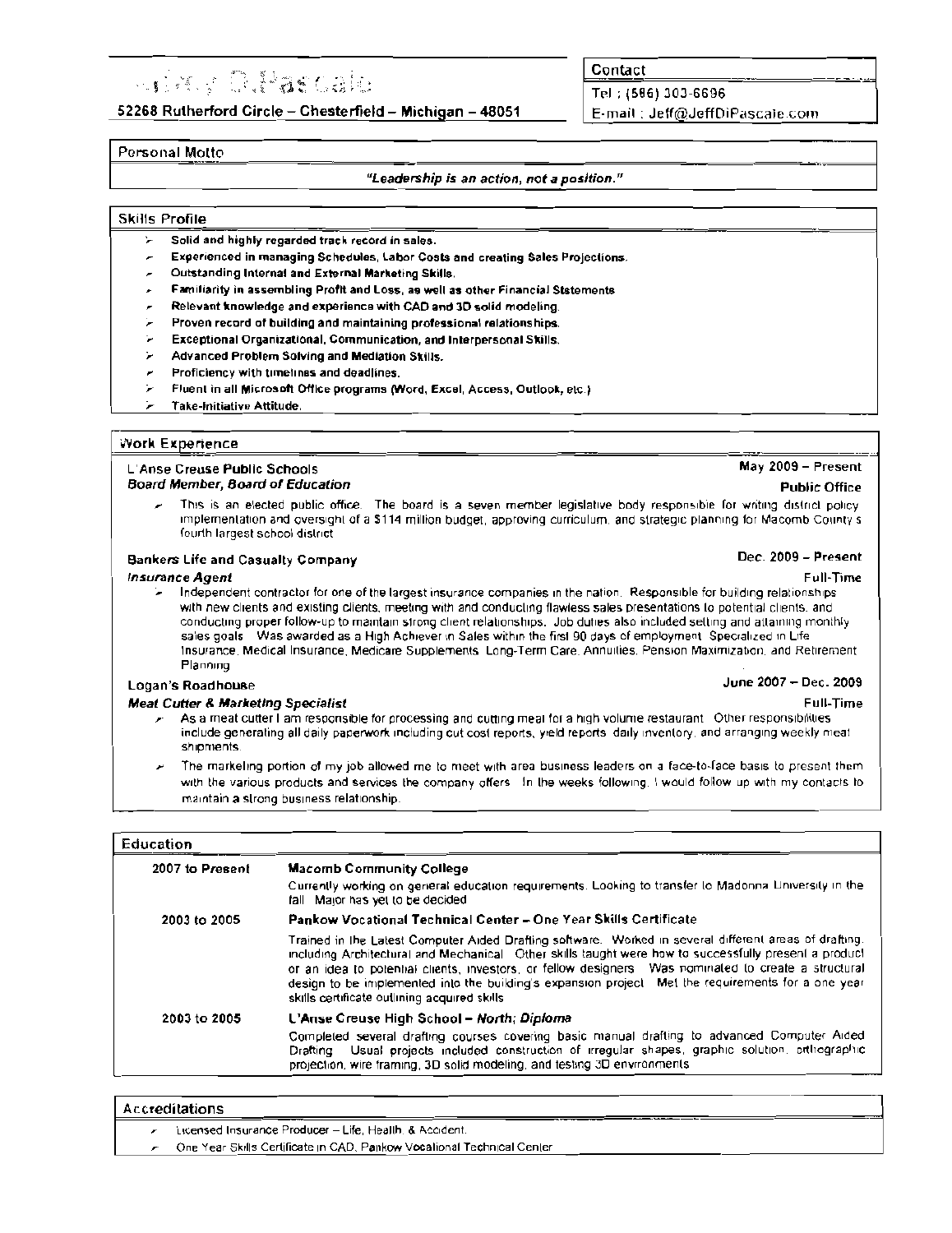# **Supplement of the Control of the Control of the Control of the Control of the Control of the Control of the Co**

52268 Rutherford Circle - Chesterfield - Michigan - 48051

Contact

Tel: (586) 303-6696 E-mail: Jeff@JeffDiPascale.com

#### Personal Motto

#### "Leadership is an action, not a position."

#### **Skills Profile**

- Solid and highly regarded track record in sales. У
- Experienced in managing Schedules, Labor Costs and creating Sales Projections.
- Outstanding Internal and External Marketing Skills. ×
- Familiarity in assembling Profit and Loss, as well as other Financial Ststements .
- Relevant knowledge and experience with CAD and 3D solid modeling.
- ÿ. Proven record of building and maintaining professional relationships.
- t. Exceptional Organizational, Communication, and Interpersonal Skills.
- ţ. Advanced Problem Solving and Mediation Skills.
- Proficiency with timelines and deadlines.
- ÷. Fluent in all Microsoft Office programs (Word, Excel, Access, Outlook, etc.)
- ÷ Take-Initiative Attitude.

#### **Work Experience**

#### L'Anse Creuse Public Schools **Board Member, Board of Education**

This is an elected public office. The board is a seven member legislative body responsible for writing district policy implementation and oversight of a \$114 million budget, approving curriculum, and strategic planning for Macomb County's fourth largest school district

#### **Bankers Life and Casualty Company**

#### **Insurance Agent**

Independent contractor for one of the largest insurance companies in the nation. Responsible for building relationships with new clients and existing clients, meeting with and conducting flawless sales presentations to potential clients, and conducting proper follow-up to maintain strong client relationships. Job duties also included setting and attaining monthly sales goals. Was awarded as a High Achiever in Sales within the first 90 days of employment. Specialized in Life Insurance, Medical Insurance, Medicare Supplements, Long-Term Care, Annuities, Pension Maximization, and Retirement Planning

#### **Logan's Roadhouse**

#### **Meat Cutter & Marketing Specialist**

- As a meat cutter I am responsible for processing and cutting meal for a high volume restaurant. Other responsibilities include generating all daily paperwork including cut cost reports, yield reports daily inventory, and arranging weekly meat shipments
- The markeling portion of my job allowed me to meet with area business leaders on a face-to-face basis to present them with the various products and services the company offers In the weeks following. I would follow up with my contacts to maintain a strong business relationship.

#### Education

| <b>Macomb Community College</b>                                                                                                                                                                                                                                                                                                                                                                                                                                                 |
|---------------------------------------------------------------------------------------------------------------------------------------------------------------------------------------------------------------------------------------------------------------------------------------------------------------------------------------------------------------------------------------------------------------------------------------------------------------------------------|
| Currently working on general education requirements. Looking to transfer to Madonna University in the<br>fall Major has yet to be decided                                                                                                                                                                                                                                                                                                                                       |
| Pankow Vocational Technical Center – One Year Skills Certificate                                                                                                                                                                                                                                                                                                                                                                                                                |
| Trained in the Latest Computer Aided Drafting software. Worked in several different areas of drafting.<br>including Architectural and Mechanical Other skills taught were how to successfully present a product<br>or an idea to potenhal clients, investors, or fellow designers. Was nominated to create a structural<br>design to be implemented into the building's expansion project. Met the requirements for a one year<br>skills certificate outlining acquired skills. |
| L'Anse Creuse High School – North; Diploma                                                                                                                                                                                                                                                                                                                                                                                                                                      |
| Completed several drafting courses covering basic manual drafting to advanced Computer Aided<br>Drafting Usual projects included construction of irregular shapes, graphic solution, erthographic<br>projection, wire framing, 3D solid modeling, and testing 3D environments.                                                                                                                                                                                                  |
|                                                                                                                                                                                                                                                                                                                                                                                                                                                                                 |

## Accreditations

Licensed Insurance Producer - Life, Health, & Accident.

One Year Skills Certificate in CAD, Pankow Vocational Technical Center

# **Public Office**

June 2007 - Dec. 2009

May 2009 - Present

## Dec. 2009 - Present

Full-Time

**Full-Time**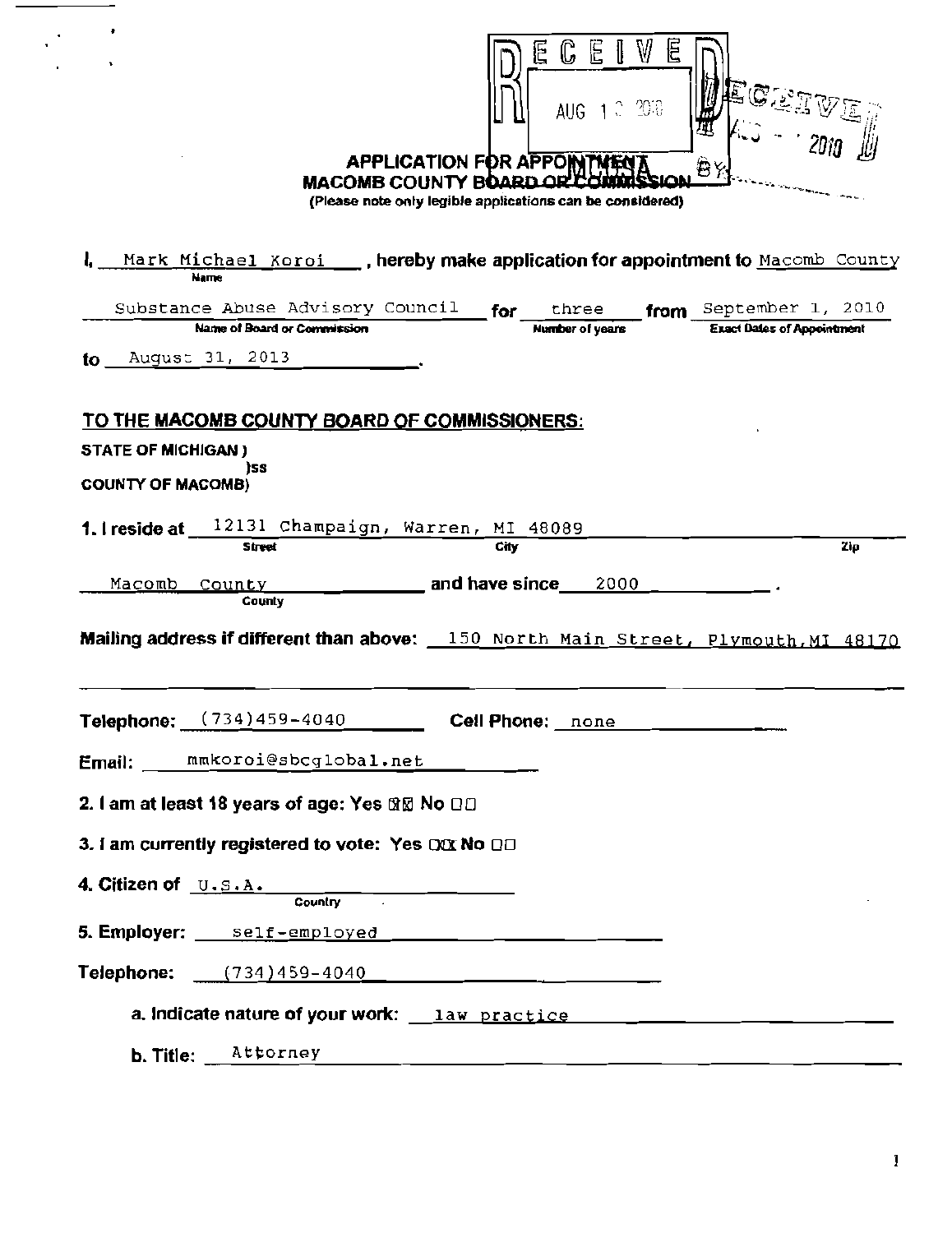| V<br>E<br>旧<br>じ<br>AUG 1 0 2018<br><b>APPLICATION FOR APPON</b><br><b>MACOMB COUNTY BOARD OR</b><br>(Please note only legible applications can be considered) |
|----------------------------------------------------------------------------------------------------------------------------------------------------------------|
| Mark Michael Koroi ____, hereby make application for appointment to Macomb County<br>Name                                                                      |
| Substance Abuse Advisory Council<br>from September 1, 2010<br>for<br>three                                                                                     |
| <b>Exact Dates of Appointment</b><br>Name of Board or Commission<br><b>Number of years</b>                                                                     |
| August 31, 2013<br>to.                                                                                                                                         |
| <u>TO THE MACOMB COUNTY BOARD OF COMMISSIONERS:</u>                                                                                                            |
| <b>STATE OF MICHIGAN)</b><br>ìss                                                                                                                               |
| <b>COUNTY OF MACOMB)</b>                                                                                                                                       |
| 12131 Champaign, Warren, MI 48089<br>1. I reside at<br><b>Street</b><br>City<br>Zip                                                                            |
|                                                                                                                                                                |
| and have since<br>Macomb<br>2000<br><u>County</u><br>County                                                                                                    |
| Mailing address if different than above: 150 North Main Street, Plymouth, MI 48170                                                                             |
| <b>Cell Phone:</b> none                                                                                                                                        |
| Email: ____ mmkoroi@sbcglobal.net                                                                                                                              |
|                                                                                                                                                                |
| 2. I am at least 18 years of age: Yes ®⊠ No □□                                                                                                                 |
| 3. I am currently registered to vote: Yes DOX No OD                                                                                                            |
| 4. Citizen of $\Box$ . $\Box$ . $\Box$ .<br>Country                                                                                                            |
|                                                                                                                                                                |
| 5. Employer: ____ self-employed ________________________                                                                                                       |
| Telephone: $(734)459-4040$                                                                                                                                     |
|                                                                                                                                                                |
| Attorney<br>b. Title:                                                                                                                                          |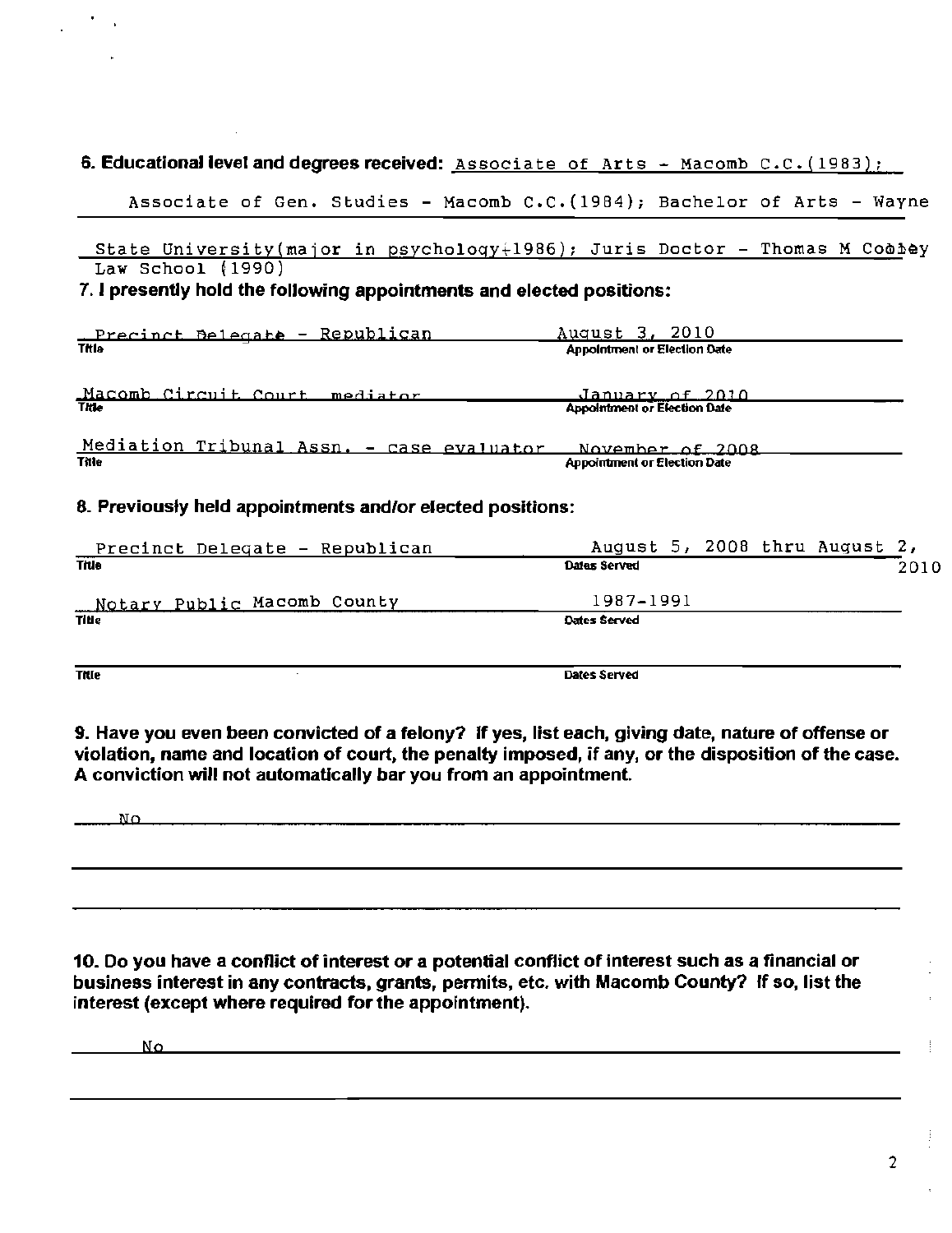### 6. Educational level and degrees received: Associate of Arts - Macomb C.C. (1983);

Associate of Gen. Studies - Macomb C.C.(1984); Bachelor of Arts - Wayne

State University(major in psychology $+1986$ ); Juris Doctor - Thomas M Coobey Law School (1990)

### 7. I presently hold the following appointments and elected positions:

| <u> Precinct Belegate - Republican</u>    | August 3, 2010                      |  |
|-------------------------------------------|-------------------------------------|--|
| Titla                                     | <b>Appointment or Election Date</b> |  |
|                                           |                                     |  |
| Macomb Circuit Court mediator             | <u>January of 2010.</u>             |  |
| Title                                     | <b>Appointment or Election Date</b> |  |
|                                           |                                     |  |
| Mediation Tribunal Assn. - case evaluator | November of 2008                    |  |
| Title                                     | <b>Appointment or Election Date</b> |  |
|                                           |                                     |  |

### 8. Previously held appointments and/or elected positions:

| Precinct Delegate - Republican | August 5, 2008 thru August 2, |      |
|--------------------------------|-------------------------------|------|
| Title                          | Dales Served                  | 2010 |
| Notary Public Macomb County    | 1987-1991                     |      |
| <b>Title</b>                   | Dates Served                  |      |
|                                |                               |      |

**Title** Dates Served

9. Have you even been convicted of a felony? If yes, list each, giving date, nature of offense or violation, name and location of court, the penalty imposed, if any, or the disposition of the case. A conviction will not automatically bar you from an appointment.

No

10. Do you have a conflict of interest or a potential conflict of interest such as a financial or business interest in any contracts, grants, pennits, etc. with Macomb County? If so, list the interest (except where required for the appointment).

No

2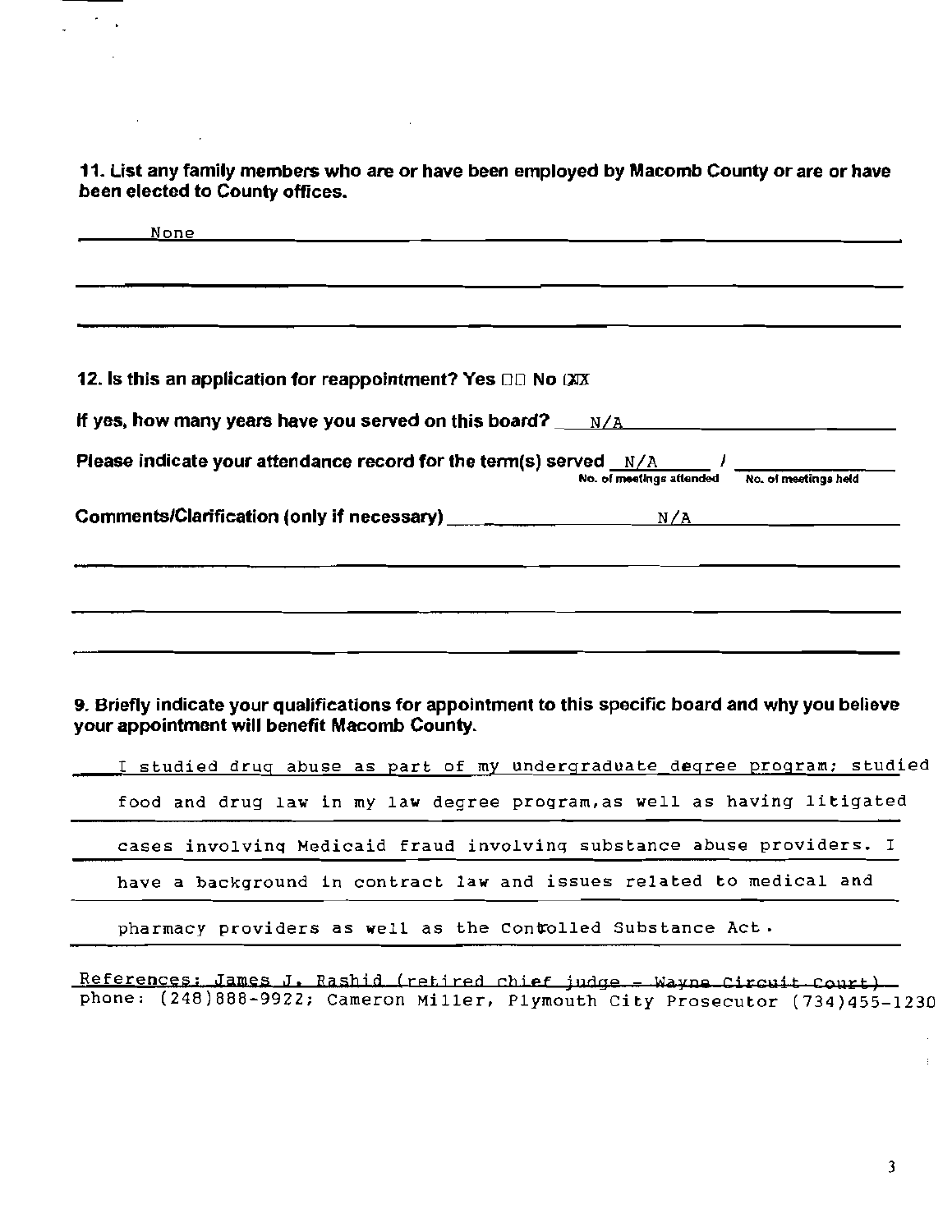11. List any family members who are or have been employed by Macomb County or are or have been elected to County offices.

 $\sim$   $\sim$ 

 $\gamma_{\rm{max}}$ 

 $\sim$ 

 $\mathcal{L}(\mathcal{A})$ 

 $\bar{z}$ 

Ļ.

| None                                                                                                                                               |                                               |
|----------------------------------------------------------------------------------------------------------------------------------------------------|-----------------------------------------------|
|                                                                                                                                                    |                                               |
|                                                                                                                                                    |                                               |
|                                                                                                                                                    |                                               |
| 12. Is this an application for reappointment? Yes DD No CXX                                                                                        |                                               |
| If yes, how many years have you served on this board? $N/A$                                                                                        |                                               |
| Please indicate your attendance record for the term(s) served $N/A$ //                                                                             | No. of meetings attended No. of meetings held |
|                                                                                                                                                    |                                               |
|                                                                                                                                                    |                                               |
|                                                                                                                                                    |                                               |
|                                                                                                                                                    |                                               |
|                                                                                                                                                    |                                               |
|                                                                                                                                                    |                                               |
|                                                                                                                                                    |                                               |
| 9. Briefly indicate your qualifications for appointment to this specific board and why you believe<br>your appointment will benefit Macomb County. |                                               |
| I studied drug abuse as part of my undergraduate degree program; studied                                                                           |                                               |
| food and drug law in my law degree program, as well as having litigated                                                                            |                                               |
| cases involving Medicaid fraud involving substance abuse providers. I                                                                              |                                               |
| have a background in contract law and issues related to medical and                                                                                |                                               |
| pharmacy providers as well as the Contolled Substance Act.                                                                                         |                                               |
| References: James J. Rashid (retired chief judge - Wayne Circuit Court)                                                                            |                                               |

phone: (248)888-9922; Cameron Miller, Plymouth City Prosecutor (734)455-1230

)

÷.